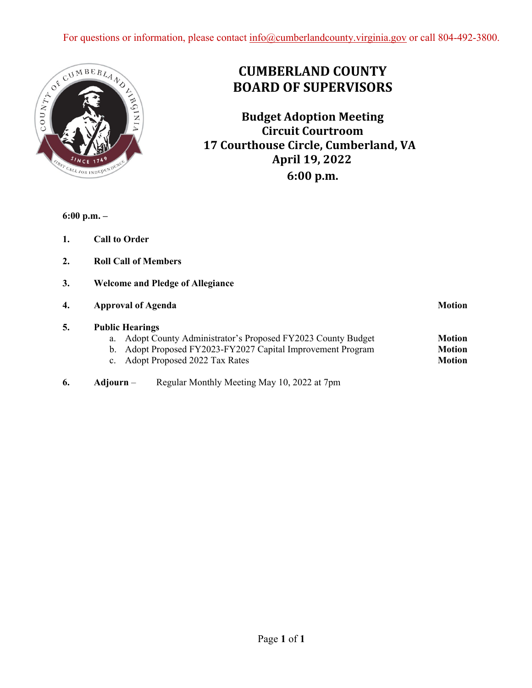

# **CUMBERLAND COUNTY BOARD OF SUPERVISORS**

**Budget Adoption Meeting Circuit Courtroom 17 Courthouse Circle, Cumberland, VA April 19, 2022 6:00 p.m.**

**6:00 p.m. –** 

- **1. Call to Order**
- **2. Roll Call of Members**
- **3. Welcome and Pledge of Allegiance**

| 4. | <b>Approval of Agenda</b>                                                                                                                                                                     | <b>Motion</b>                                   |
|----|-----------------------------------------------------------------------------------------------------------------------------------------------------------------------------------------------|-------------------------------------------------|
| 5. | <b>Public Hearings</b><br>Adopt County Administrator's Proposed FY2023 County Budget<br>a.<br>b. Adopt Proposed FY2023-FY2027 Capital Improvement Program<br>c. Adopt Proposed 2022 Tax Rates | <b>Motion</b><br><b>Motion</b><br><b>Motion</b> |
| 6. | Regular Monthly Meeting May 10, 2022 at 7pm<br>Adjourn –                                                                                                                                      |                                                 |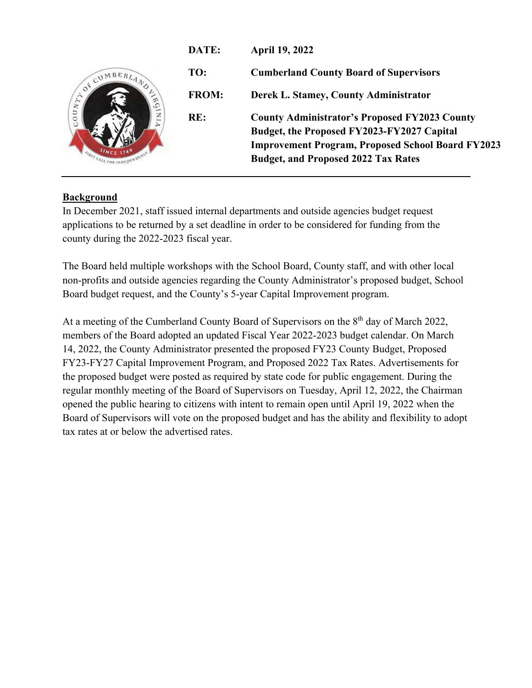

## **Background**

In December 2021, staff issued internal departments and outside agencies budget request applications to be returned by a set deadline in order to be considered for funding from the county during the 2022-2023 fiscal year.

The Board held multiple workshops with the School Board, County staff, and with other local non-profits and outside agencies regarding the County Administrator's proposed budget, School Board budget request, and the County's 5-year Capital Improvement program.

At a meeting of the Cumberland County Board of Supervisors on the  $8<sup>th</sup>$  day of March 2022, members of the Board adopted an updated Fiscal Year 2022-2023 budget calendar. On March 14, 2022, the County Administrator presented the proposed FY23 County Budget, Proposed FY23-FY27 Capital Improvement Program, and Proposed 2022 Tax Rates. Advertisements for the proposed budget were posted as required by state code for public engagement. During the regular monthly meeting of the Board of Supervisors on Tuesday, April 12, 2022, the Chairman opened the public hearing to citizens with intent to remain open until April 19, 2022 when the Board of Supervisors will vote on the proposed budget and has the ability and flexibility to adopt tax rates at or below the advertised rates.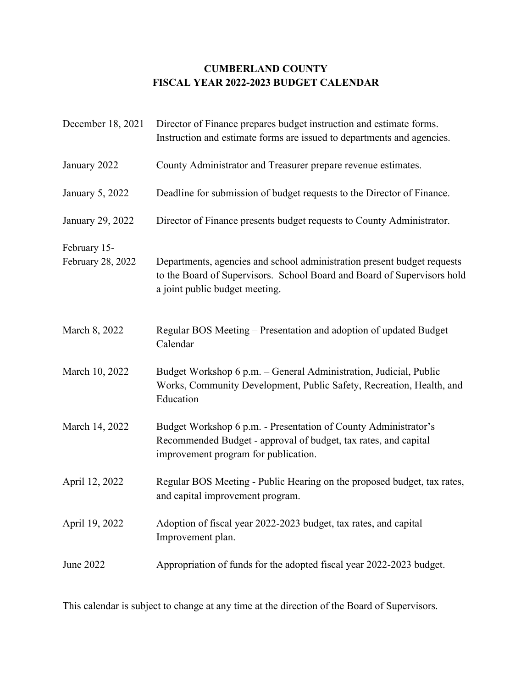## **CUMBERLAND COUNTY FISCAL YEAR 2022-2023 BUDGET CALENDAR**

| December 18, 2021                 | Director of Finance prepares budget instruction and estimate forms.<br>Instruction and estimate forms are issued to departments and agencies.                                        |
|-----------------------------------|--------------------------------------------------------------------------------------------------------------------------------------------------------------------------------------|
| January 2022                      | County Administrator and Treasurer prepare revenue estimates.                                                                                                                        |
| January 5, 2022                   | Deadline for submission of budget requests to the Director of Finance.                                                                                                               |
| January 29, 2022                  | Director of Finance presents budget requests to County Administrator.                                                                                                                |
| February 15-<br>February 28, 2022 | Departments, agencies and school administration present budget requests<br>to the Board of Supervisors. School Board and Board of Supervisors hold<br>a joint public budget meeting. |
| March 8, 2022                     | Regular BOS Meeting – Presentation and adoption of updated Budget<br>Calendar                                                                                                        |
| March 10, 2022                    | Budget Workshop 6 p.m. - General Administration, Judicial, Public<br>Works, Community Development, Public Safety, Recreation, Health, and<br>Education                               |
| March 14, 2022                    | Budget Workshop 6 p.m. - Presentation of County Administrator's<br>Recommended Budget - approval of budget, tax rates, and capital<br>improvement program for publication.           |
| April 12, 2022                    | Regular BOS Meeting - Public Hearing on the proposed budget, tax rates,<br>and capital improvement program.                                                                          |
| April 19, 2022                    | Adoption of fiscal year 2022-2023 budget, tax rates, and capital<br>Improvement plan.                                                                                                |
| June 2022                         | Appropriation of funds for the adopted fiscal year 2022-2023 budget.                                                                                                                 |

This calendar is subject to change at any time at the direction of the Board of Supervisors.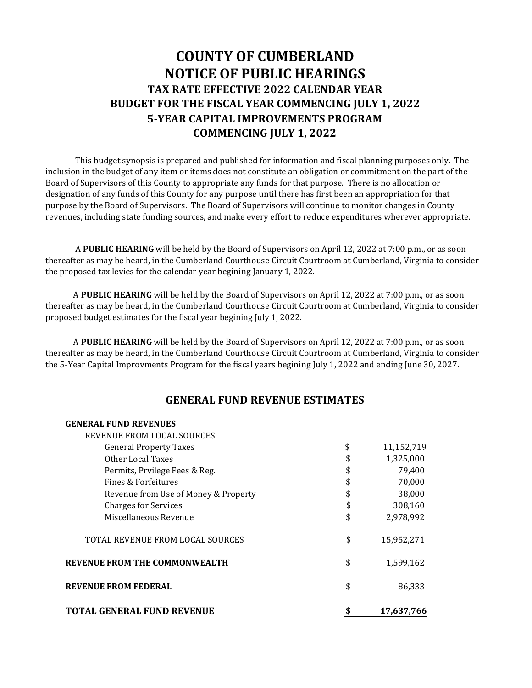# **COUNTY OF CUMBERLAND NOTICE OF PUBLIC HEARINGS TAX RATE EFFECTIVE 2022 CALENDAR YEAR BUDGET FOR THE FISCAL YEAR COMMENCING JULY 1, 2022 5·YEAR CAPITAL IMPROVEMENTS PROGRAM COMMENCING JULY 1, 2022**

 This budget synopsis is prepared and published for information and fiscal planning purposes only. The inclusion in the budget of any item or items does not constitute an obligation or commitment on the part of the Board of Supervisors of this County to appropriate any funds for that purpose. There is no allocation or designation of any funds of this County for any purpose until there has first been an appropriation for that purpose by the Board of Supervisors. The Board of Supervisors will continue to monitor changes in County revenues, including state funding sources, and make every effort to reduce expenditures wherever appropriate.

 A **PUBLIC HEARING** will be held by the Board of Supervisors on April 12, 2022 at 7:00 p.m., or as soon thereafter as may be heard, in the Cumberland Courthouse Circuit Courtroom at Cumberland, Virginia to consider the proposed tax levies for the calendar year begining January 1, 2022.

 A **PUBLIC HEARING** will be held by the Board of Supervisors on April 12, 2022 at 7:00 p.m., or as soon thereafter as may be heard, in the Cumberland Courthouse Circuit Courtroom at Cumberland, Virginia to consider proposed budget estimates for the fiscal year begining July 1, 2022.

 A **PUBLIC HEARING** will be held by the Board of Supervisors on April 12, 2022 at 7:00 p.m., or as soon thereafter as may be heard, in the Cumberland Courthouse Circuit Courtroom at Cumberland, Virginia to consider the 5-Year Capital Improvments Program for the fiscal years begining July 1, 2022 and ending June 30, 2027.

### **GENERAL FUND REVENUE ESTIMATES**

|  | <b>GENERAL FUND REVENUES</b> |  |
|--|------------------------------|--|
|  |                              |  |

| TOTAL GENERAL FUND REVENUE           | 17,637,766       |
|--------------------------------------|------------------|
| <b>REVENUE FROM FEDERAL</b>          | \$<br>86,333     |
| <b>REVENUE FROM THE COMMONWEALTH</b> | \$<br>1,599,162  |
| TOTAL REVENUE FROM LOCAL SOURCES     | \$<br>15,952,271 |
| Miscellaneous Revenue                | \$<br>2,978,992  |
| <b>Charges for Services</b>          | \$<br>308,160    |
| Revenue from Use of Money & Property | \$<br>38,000     |
| Fines & Forfeitures                  | \$<br>70,000     |
| Permits, Prvilege Fees & Reg.        | \$<br>79,400     |
| Other Local Taxes                    | \$<br>1,325,000  |
| <b>General Property Taxes</b>        | \$<br>11,152,719 |
| REVENUE FROM LOCAL SOURCES           |                  |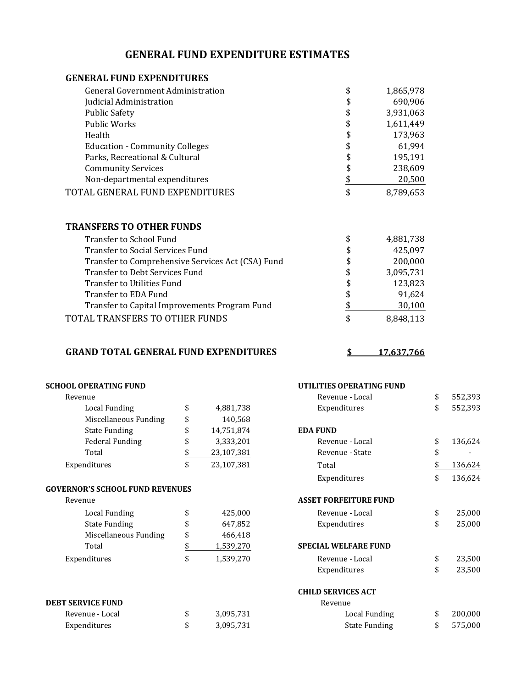## **GENERAL FUND EXPENDITURE ESTIMATES**

### **GENERAL FUND EXPENDITURES**

| <b>General Government Administration</b> | \$<br>1,865,978 |
|------------------------------------------|-----------------|
| Judicial Administration                  | \$<br>690,906   |
| <b>Public Safety</b>                     | \$<br>3,931,063 |
| Public Works                             | \$<br>1,611,449 |
| Health                                   | \$<br>173,963   |
| <b>Education - Community Colleges</b>    | \$<br>61,994    |
| Parks, Recreational & Cultural           | \$<br>195,191   |
| <b>Community Services</b>                | \$<br>238,609   |
| Non-departmental expenditures            | 20,500          |
| TOTAL GENERAL FUND EXPENDITURES          | \$<br>8,789,653 |
|                                          |                 |

#### **TRANSFERS TO OTHER FUNDS**

| Transfer to School Fund                           | \$ | 4,881,738 |
|---------------------------------------------------|----|-----------|
| Transfer to Social Services Fund                  | \$ | 425,097   |
| Transfer to Comprehensive Services Act (CSA) Fund | \$ | 200,000   |
| Transfer to Debt Services Fund                    | \$ | 3,095,731 |
| Transfer to Utilities Fund                        | \$ | 123,823   |
| Transfer to EDA Fund                              | \$ | 91,624    |
| Transfer to Capital Improvements Program Fund     | \$ | 30,100    |
| TOTAL TRANSFERS TO OTHER FUNDS                    | S  | 8,848,113 |

#### **GRAND TOTAL GENERAL FUND EXPENDITURES**

**\$ 17,637,766**

| <b>SCHOOL OPERATING FUND</b>           |                  | UTILITIES OPERATING FUND     |               |
|----------------------------------------|------------------|------------------------------|---------------|
| Revenue                                |                  | Revenue - Local              | \$<br>552,393 |
| <b>Local Funding</b>                   | \$<br>4,881,738  | Expenditures                 | \$<br>552,393 |
| Miscellaneous Funding                  | \$<br>140,568    |                              |               |
| <b>State Funding</b>                   | \$<br>14,751,874 | <b>EDA FUND</b>              |               |
| <b>Federal Funding</b>                 | \$<br>3,333,201  | Revenue - Local              | \$<br>136,624 |
| Total                                  | \$<br>23,107,381 | Revenue - State              | \$            |
| Expenditures                           | \$<br>23,107,381 | Total                        | \$<br>136,624 |
|                                        |                  | Expenditures                 | \$<br>136,624 |
| <b>GOVERNOR'S SCHOOL FUND REVENUES</b> |                  |                              |               |
| Revenue                                |                  | <b>ASSET FORFEITURE FUND</b> |               |
| <b>Local Funding</b>                   | \$<br>425,000    | Revenue - Local              | \$<br>25,000  |
| <b>State Funding</b>                   | \$<br>647,852    | Expendutires                 | \$<br>25,000  |
| Miscellaneous Funding                  | \$<br>466,418    |                              |               |
| Total                                  | \$<br>1,539,270  | <b>SPECIAL WELFARE FUND</b>  |               |
| Expenditures                           | \$<br>1,539,270  | Revenue - Local              | \$<br>23,500  |
|                                        |                  | Expenditures                 | \$<br>23,500  |
|                                        |                  | <b>CHILD SERVICES ACT</b>    |               |
| <b>DEBT SERVICE FUND</b>               |                  | Revenue                      |               |
| Revenue - Local                        | \$<br>3,095,731  | Local Funding                | \$<br>200,000 |
| Expenditures                           | \$<br>3,095,731  | <b>State Funding</b>         | \$<br>575,000 |